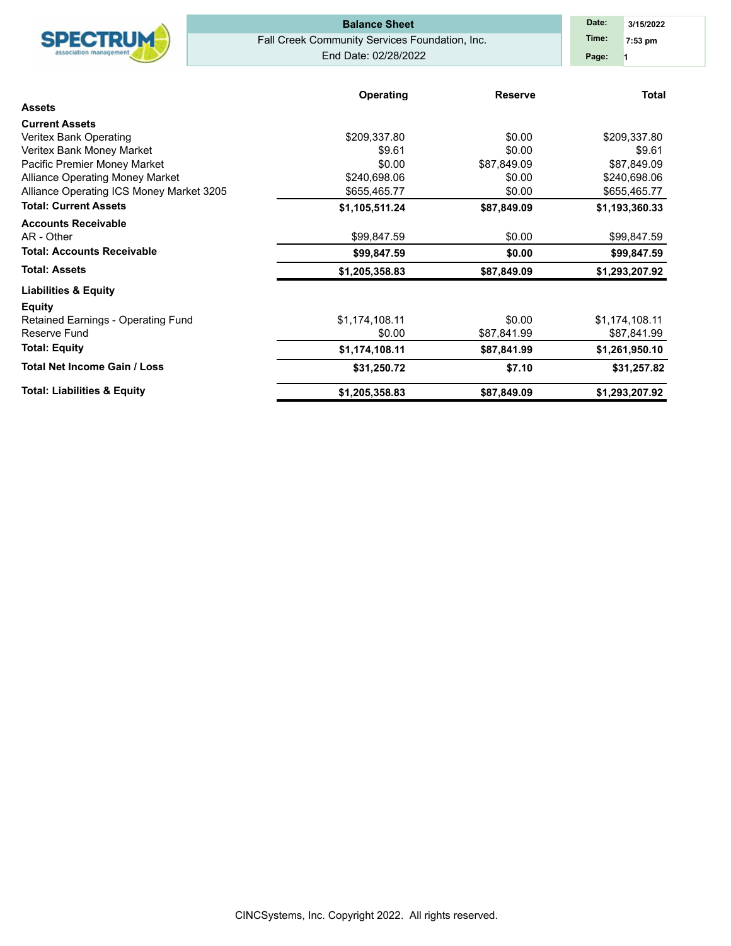|                                          | <b>Balance Sheet</b>                           | Date:<br>3/15/2022 |                  |
|------------------------------------------|------------------------------------------------|--------------------|------------------|
| <b>SPECTRUM</b>                          | Fall Creek Community Services Foundation, Inc. |                    | Time:<br>7:53 pm |
| association managemen                    | End Date: 02/28/2022                           |                    | Page:            |
|                                          | <b>Operating</b>                               | <b>Reserve</b>     | <b>Total</b>     |
| <b>Assets</b>                            |                                                |                    |                  |
| <b>Current Assets</b>                    |                                                |                    |                  |
| Veritex Bank Operating                   | \$209,337.80                                   | \$0.00             | \$209,337.80     |
| Veritex Bank Money Market                | \$9.61                                         | \$0.00             | \$9.61           |
| Pacific Premier Money Market             | \$0.00                                         | \$87,849.09        | \$87,849.09      |
| <b>Alliance Operating Money Market</b>   | \$240,698.06                                   | \$0.00             | \$240,698.06     |
| Alliance Operating ICS Money Market 3205 | \$655,465.77                                   | \$0.00             | \$655,465.77     |
| <b>Total: Current Assets</b>             | \$1,105,511.24                                 | \$87,849.09        | \$1,193,360.33   |
| <b>Accounts Receivable</b>               |                                                |                    |                  |
| AR - Other                               | \$99,847.59                                    | \$0.00             | \$99,847.59      |
| <b>Total: Accounts Receivable</b>        | \$99,847.59                                    | \$0.00             | \$99,847.59      |
| <b>Total: Assets</b>                     | \$1,205,358.83                                 | \$87,849.09        | \$1,293,207.92   |
| <b>Liabilities &amp; Equity</b>          |                                                |                    |                  |
| <b>Equity</b>                            |                                                |                    |                  |
| Retained Earnings - Operating Fund       | \$1,174,108.11                                 | \$0.00             | \$1,174,108.11   |
| Reserve Fund                             | \$0.00                                         | \$87,841.99        | \$87,841.99      |
| <b>Total: Equity</b>                     | \$1,174,108.11                                 | \$87,841.99        | \$1,261,950.10   |
| <b>Total Net Income Gain / Loss</b>      | \$31,250.72                                    | \$7.10             | \$31,257.82      |
| <b>Total: Liabilities &amp; Equity</b>   | \$1,205,358.83                                 | \$87,849.09        | \$1,293,207.92   |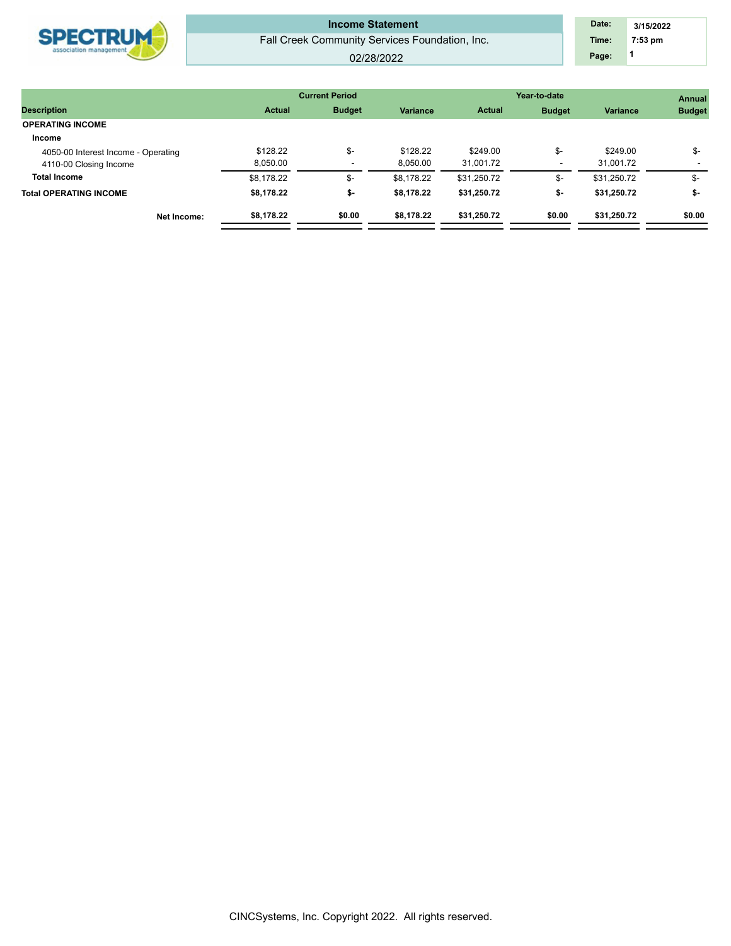|                        | <b>Income Statement</b>                        | Date: | 3/15/2022 |  |
|------------------------|------------------------------------------------|-------|-----------|--|
| <b>SPECTRUM</b>        | Fall Creek Community Services Foundation, Inc. | Time: | $7:53$ pm |  |
| association management | 02/28/2022                                     | Page: |           |  |
|                        |                                                |       |           |  |

|                                     |               | <b>Current Period</b> |                 | Year-to-date  | <b>Annual</b> |                 |               |
|-------------------------------------|---------------|-----------------------|-----------------|---------------|---------------|-----------------|---------------|
| <b>Description</b>                  | <b>Actual</b> | <b>Budget</b>         | <b>Variance</b> | <b>Actual</b> | <b>Budget</b> | <b>Variance</b> | <b>Budget</b> |
| <b>OPERATING INCOME</b>             |               |                       |                 |               |               |                 |               |
| Income                              |               |                       |                 |               |               |                 |               |
| 4050-00 Interest Income - Operating | \$128.22      | \$-                   | \$128.22        | \$249.00      | \$-           | \$249.00        | \$-           |
| 4110-00 Closing Income              | 8,050.00      |                       | 8,050.00        | 31,001.72     |               | 31.001.72       |               |
| <b>Total Income</b>                 | \$8.178.22    | \$-                   | \$8.178.22      | \$31,250.72   | \$-           | \$31,250.72     | \$-           |
| <b>Total OPERATING INCOME</b>       | \$8.178.22    | \$-                   | \$8.178.22      | \$31,250.72   | \$-           | \$31,250.72     | \$-           |
| Net Income:                         | \$8,178.22    | \$0.00                | \$8,178.22      | \$31,250.72   | \$0.00        | \$31,250.72     | \$0.00        |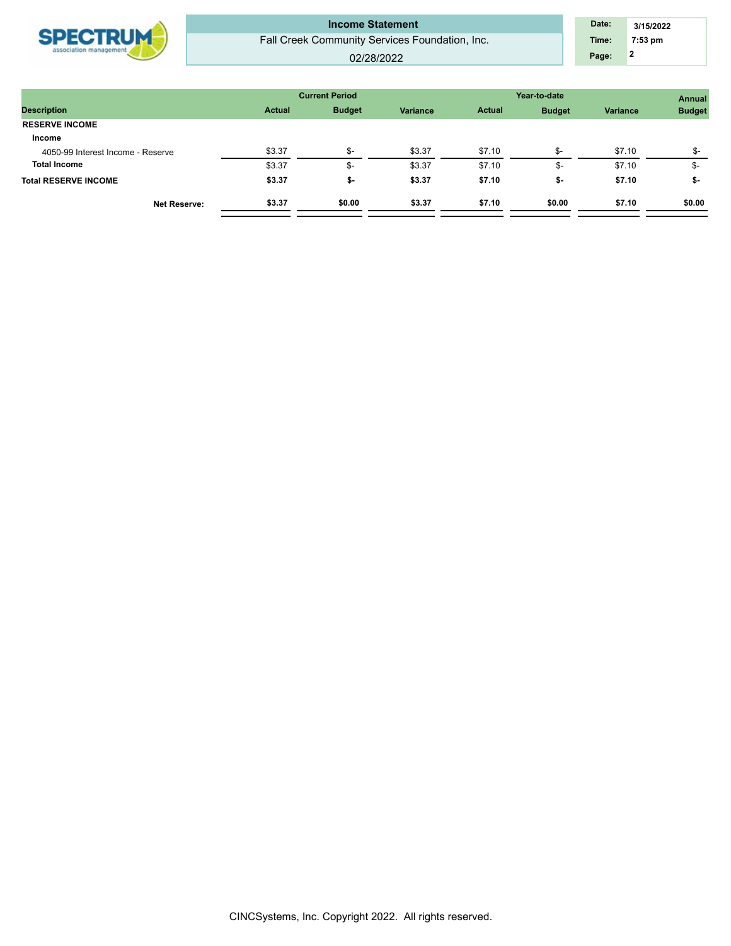| <b>SPECTRUM</b><br>association management | <b>Income Statement</b><br>Fall Creek Community Services Foundation, Inc.<br>02/28/2022 | Date:<br>Time:<br>Page: | 3/15/2022<br>7:53 pm |
|-------------------------------------------|-----------------------------------------------------------------------------------------|-------------------------|----------------------|
|                                           |                                                                                         |                         |                      |

|        |                                |               |               | Year-to-date    |               |  |  |  |  |  |
|--------|--------------------------------|---------------|---------------|-----------------|---------------|--|--|--|--|--|
|        | Variance                       | <b>Actual</b> | <b>Budget</b> | <b>Variance</b> | <b>Budget</b> |  |  |  |  |  |
|        |                                |               |               |                 |               |  |  |  |  |  |
|        |                                |               |               |                 |               |  |  |  |  |  |
| ৬-     | \$3.37                         | \$7.10        | \$-           | \$7.10          | $S-$          |  |  |  |  |  |
|        | \$3.37                         | \$7.10        | \$-           | \$7.10          | \$-           |  |  |  |  |  |
| \$-    | \$3.37                         | \$7.10        | \$-           | \$7.10          | \$-           |  |  |  |  |  |
| \$0.00 | \$3.37                         | \$7.10        | \$0.00        | \$7.10          | \$0.00        |  |  |  |  |  |
|        | <b>Budget</b><br><b>Actual</b> |               |               |                 |               |  |  |  |  |  |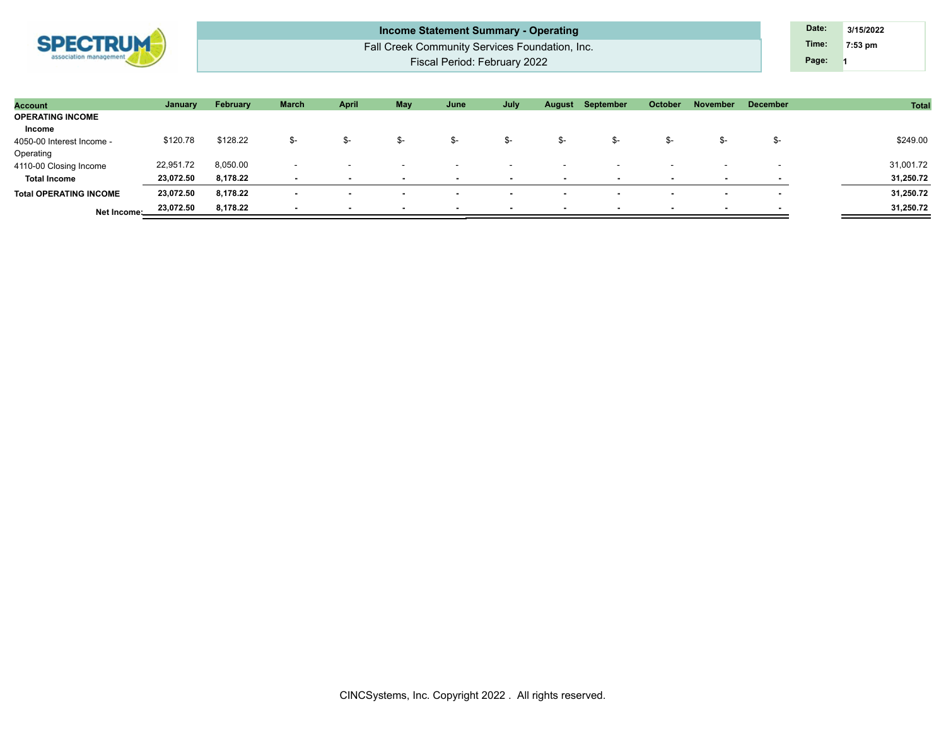

Fall Creek Community Services Foundation, Inc. Fiscal Period: February 2022 **Income Statement Summary - Operating Date: Date: Date: Date: Date: 3/15/2022** 

**1 Time: 7:53 pm Page:**

| <b>Account</b>                | January   | February | March                    | April                    | May                      | June                     | July                     | August                   | September                | October                  | <b>November</b>          | <b>December</b>          | Total     |
|-------------------------------|-----------|----------|--------------------------|--------------------------|--------------------------|--------------------------|--------------------------|--------------------------|--------------------------|--------------------------|--------------------------|--------------------------|-----------|
| <b>OPERATING INCOME</b>       |           |          |                          |                          |                          |                          |                          |                          |                          |                          |                          |                          |           |
| Income                        |           |          |                          |                          |                          |                          |                          |                          |                          |                          |                          |                          |           |
| 4050-00 Interest Income -     | \$120.78  | \$128.22 | ৬-                       | ৬-                       | \$-                      | S-                       | \$-                      | -ত                       | Ֆ-                       | ৬-                       | ъ-                       | .Տ–                      | \$249.00  |
| Operating                     |           |          |                          |                          |                          |                          |                          |                          |                          |                          |                          |                          |           |
| 4110-00 Closing Income        | 22,951.72 | 8,050.00 | $\sim$                   |                          |                          |                          | . .                      |                          |                          |                          |                          |                          | 31,001.72 |
| <b>Total Income</b>           | 23,072.50 | 8,178.22 | $\overline{\phantom{a}}$ | $\overline{\phantom{a}}$ | $\overline{\phantom{a}}$ | $\overline{\phantom{a}}$ | $\overline{\phantom{a}}$ |                          | $\overline{\phantom{a}}$ | $\overline{\phantom{a}}$ | $\blacksquare$           | $\overline{\phantom{a}}$ | 31,250.72 |
| <b>Total OPERATING INCOME</b> | 23,072.50 | 8,178.22 | $\sim$                   | $\overline{\phantom{a}}$ | $\sim$                   | $\sim$                   | $\sim$                   | $\overline{\phantom{a}}$ | $\overline{\phantom{a}}$ | $\sim$                   | $\sim$                   | $\overline{\phantom{a}}$ | 31,250.72 |
| Net Income:                   | 23,072.50 | 8,178.22 | $\overline{\phantom{0}}$ | $\overline{\phantom{a}}$ | $\overline{\phantom{a}}$ | $\overline{\phantom{a}}$ | $\overline{\phantom{a}}$ |                          | $\overline{\phantom{a}}$ | $\overline{\phantom{a}}$ | $\overline{\phantom{a}}$ | . .                      | 31,250.72 |